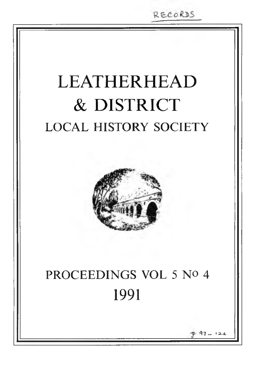RECORDS

# LEATHERHEAD & DISTRICT LOCAL HISTORY SOCIETY



# PROCEEDINGS VOL 5 No 4 1991

**3 7 \_ ' 2-4.**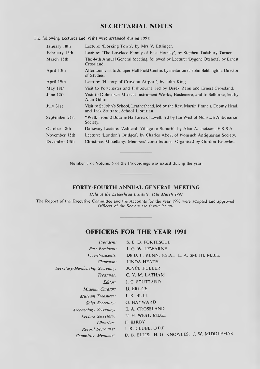## **SECRETARIAL NOTES**

The following Lectures and Visits were arranged during 1991:

| January 18th   | Lecture: 'Dorking Town', by Mrs V. Ettlinger.                                                                                |
|----------------|------------------------------------------------------------------------------------------------------------------------------|
| February 15th  | Lecture: 'The Lovelace Family of East Horsley', by Stephen Tudsbury-Turner.                                                  |
| March 15th     | The 44th Annual General Meeting, followed by Lecture: 'Bygone Oxshott', by Ernest<br>Crossland.                              |
| April 13th     | Afternoon visit to Juniper Hall Field Centre, by invitation of John Bebbington, Director<br>of Studies.                      |
| April 19th     | Lecture: 'History of Croydon Airport', by John King.                                                                         |
| May 18th       | Visit to Portchester and Fishbourne, led by Derek Renn and Ernest Crossland.                                                 |
| June 12th      | Visit to Dolmetsch Musical Instrument Works, Haslemere, and to Selborne, led by<br>Alan Gillies.                             |
| July 31st      | Visit to St John's School, Leatherhead, led by the Rev. Martin Francis, Deputy Head,<br>and Jack Stuttard, School Librarian. |
| September 21st | "Walk" round Bourne Hall area of Ewell, led by Ian West of Nonsuch Antiquarian<br>Society.                                   |
| October 18th   | Dallaway Lecture: 'Ashtead: Village to Suburb', by Alan A. Jackson, F.R.S.A.                                                 |
| November 15th  | Lecture: 'London's Bridges', by Charles Abdy, of Nonsuch Antiquarian Society.                                                |
| December 13th  | Christmas Miscellany: Members' contributions. Organised by Gordon Knowles.                                                   |

Number 3 of Volume 5 of the Proceedings was issued during the year.

### **FORTY-FOURTH ANNUAL GENERAL MEETING**

*Held at the Letherhead Institute, 15th March 1991*

The Report of the Executive Committee and the Accounts for the year 1990 were adopted and approved. Officers of the Society are shown below.

## **OFFICERS FOR THE YEAR 1991**

| President:                      | S. E. D. FORTESCUE                          |
|---------------------------------|---------------------------------------------|
| <b>Past President:</b>          | J. G. W. LEWARNE                            |
| Vice-Presidents                 | DR D. F. RENN, F.S.A.; L. A. SMITH, M.B.E.  |
| Chairman:                       | <b>LINDA HEATH</b>                          |
| Secretary/Membership Secretary: | <b>JOYCE FULLER</b>                         |
| Treasurer:                      | C. V. M. LATHAM                             |
| Editor:                         | <b>J. C. STUTTARD</b>                       |
| Museum Curator:                 | D. BRUCE                                    |
| Museum Treasurer.               | J. R. BULL                                  |
| Sales Secretary:                | G. HAYWARD                                  |
| Archaeology Secretary:          | E. A. CROSSLAND                             |
| Lecture Secretary:              | N. H. WEST, M.B.E.                          |
| Lihrarian:                      | <b>F. KIRBY</b>                             |
| Record Secretary:               | J. R. CLUBE, O.B.E.                         |
| Committee Members:              | D. B. ELLIS; H. G. KNOWLES; J. W. MIDDLEMAS |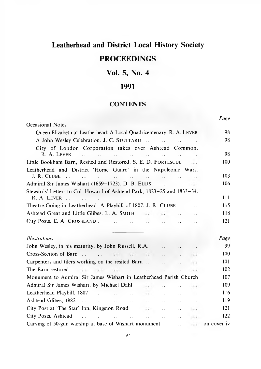# **Leatherhead and District Local History Society**

## **PROCEEDINGS**

## **Vol. 5, No. 4**

## **1991**

## **CONTENTS**

|                                                                                                                                                                                                                                |        |              |                              |                                 | Page        |
|--------------------------------------------------------------------------------------------------------------------------------------------------------------------------------------------------------------------------------|--------|--------------|------------------------------|---------------------------------|-------------|
| Occasional Notes                                                                                                                                                                                                               |        |              |                              |                                 |             |
| Queen Elizabeth at Leatherhead: A Local Quadricentenary. R. A. LEVER                                                                                                                                                           |        |              |                              |                                 |             |
|                                                                                                                                                                                                                                |        |              |                              |                                 | 98          |
| City of London Corporation takes over Ashtead Common.                                                                                                                                                                          |        |              |                              |                                 |             |
| R. A. LEVER<br>المتوارد المتوارث أتنفي والمتوارد والمتوارد المتوار                                                                                                                                                             |        |              |                              | $\ddot{\phantom{a}}$            | 98          |
| Little Bookham Barn, Resited and Restored. S. E. D. FORTESCUE                                                                                                                                                                  |        |              |                              | <b><i>Charles Company</i></b>   | 100         |
| Leatherhead and District 'Home Guard' in the Napoleonic Wars.                                                                                                                                                                  |        |              |                              |                                 |             |
| J. R. Clube<br>المحارب والمحارب والمحارب المحارب المحارب المحارب المحارب المحارب                                                                                                                                               |        |              |                              | <b>Contractor</b>               | 103         |
| Admiral Sir James Wishart (1659–1723). D. B. ELLIS                                                                                                                                                                             |        |              |                              | <b><i>Charles Committee</i></b> | 106         |
| Stewards' Letters to Col. Howard of Ashtead Park, 1823–25 and 1833–34.                                                                                                                                                         |        |              |                              |                                 |             |
|                                                                                                                                                                                                                                |        |              |                              |                                 | 111         |
| Theatre-Going in Leatherhead: A Playbill of 1807. J. R. CLUBE                                                                                                                                                                  |        |              |                              | $\ddot{\phantom{a}}$            | 115         |
| Ashtead Great and Little Glibes. L. A. SMITH                                                                                                                                                                                   |        |              |                              |                                 | 118         |
|                                                                                                                                                                                                                                |        |              |                              | $\ddot{\phantom{0}}$            | 121         |
| <b>Illustrations</b>                                                                                                                                                                                                           |        |              |                              |                                 | Page        |
| John Wesley, in his maturity, by John Russell, R.A.                                                                                                                                                                            |        |              |                              |                                 | 99          |
|                                                                                                                                                                                                                                |        |              | $\epsilon$ .                 | 14.7                            | 100         |
| Carpenters and tilers working on the resited Barn                                                                                                                                                                              |        |              | $\ddotsc$                    | $\sim$                          | 101         |
| The Barn restored<br>the state of the state of the state of the                                                                                                                                                                |        |              |                              | $11 - 11$                       | 102         |
| Monument to Admiral Sir James Wishart in Leatherhead Parish Church                                                                                                                                                             |        |              |                              |                                 | 107         |
| Admiral Sir James Wishart, by Michael Dahl                                                                                                                                                                                     | $\sim$ | $\mathbf{r}$ | $\ddot{\phantom{a}}$         | $\sim$                          | 109         |
|                                                                                                                                                                                                                                |        |              | $\sim$ $\sim$                | $\sim$ $\sim$                   | 116         |
|                                                                                                                                                                                                                                |        |              | <b>Contractor</b>            | $\sim 1$                        | 119         |
|                                                                                                                                                                                                                                |        |              | <b>Alan Adam</b>             | $\sim$ .                        | 121         |
| City Posts, Ashtead (1992) . The contract of the contract of the contract of the contract of the contract of the contract of the contract of the contract of the contract of the contract of the contract of the contract of t |        |              | $\mathcal{L}(\mathcal{L})$ . | $\cdots$                        | 122         |
| Carving of 50-gun warship at base of Wishart monument                                                                                                                                                                          |        |              | $\ddotsc$                    | $\sim$                          | on cover iv |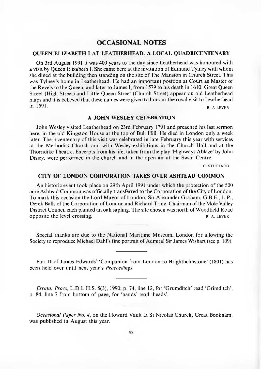### **OCCASIONAL NOTES**

#### <span id="page-3-0"></span>**Q UEEN ELIZABETH I AT LEATHERHEAD: A LOCAL QUADRICENTENARY**

On 3rd August 1991 it was 400 years to the day since Leatherhead was honoured with a visit by Queen Elizabeth I. She came here at the invitation of Edmund Tylney with whom she dined at the building then standing on the site of The Mansion in Church Street. This was Tylney's home in Leatherhead. He had an important position at Court as Master of the Revels to the Queen, and later to James I, from 1579 to his death in 1610. Great Oueen Street (High Street) and Little Queen Street (Church Street) appear on old Leatherhead m aps and it is believed that these names were given to honour the royal visit to Leatherhead  $\overline{R}$ , A LEVER  $\overline{R}$ , A LEVER

#### **A JOHN WESLEY CELEBRATION**

John Wesley visited Leatherhead on 23rd February 1791 and preached his last sermon here, in the old Kingston House at the top of Bull Hill. He died in London only a week later. The bicentenary of this visit was celebrated in late February this year with services at the Methodist Church and with Wesley exhibitions in the Church Hall and at the Thorndike Theatre. Excerpts from his life, taken from the play 'Highways Ablaze' by John Disley, were performed in the church and in the open air at the Swan Centre.

J. C. STUTTARD

#### **CITY OF LONDON CORPORATION TAKES OVER ASHTEAD COMMON**

An historic event took place on 29th April 1991 under which the protection of the 500 acre Ashtead Common was officially transferred to the Corporation of the City of London. To mark this occasion the Lord Mayor of London, Sir Alexander Graham, G.B.E., J. P., Derek Balls of the Corporation of London and Richard Tring, Chairman of the Mole Valley District Council each planted an oak sapling. The site chosen was north of Woodfield Road opposite the level crossing. The results of the results of the results of the results of the results of the results of the results of the results of the results of the results of the results of the results of the results o

Special thanks are due to the National Maritime Museum, London for allowing the Society to reproduce Michael Dahl's fine portrait of Admiral Sir James Wishart (see p. 109).

Part II of James Edwards' 'Companion from London to Brighthelmstone' (1801) has been held over until next year's Proceedings.

*Errata: Procs, L.D.L.H.S. 5(3), 1990: p. 74, line 12, for 'Grumditch' read 'Grimditch';* p. 84, line 7 from bottom of page, for 'hands' read 'heads'.

*Occasional Paper No. 4,* on the Howard Vault at St Nicolas Church, Great Bookham, was published in August this year.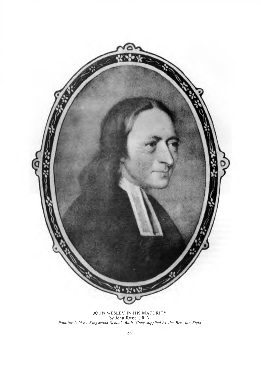

JOHN WESLEY IN HIS MATURITY by John Russell, R.A. *Painting held by Kingswood School, Bath. Copy supplied by the Rev. kin Field.*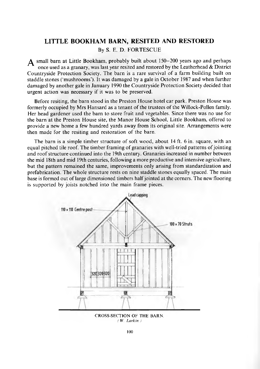### **LITTLE BOOKHAM BARN, RESITED AND RESTORED**

By S. E. D. FORTESCUE

 $\boldsymbol{\Delta}$  small barn at Little Bookham, probably built about 150-200 years ago and perhaps once used as a granary, was last year resited and restored by the Leatherhead & District Countryside Protection Society. The barn is a rare survival of a farm building built on staddle stones ('mushrooms'). It was damaged by a gale in October 1987 and when further damaged by another gale in January 1990 the Countryside Protection Society decided that urgent action was necessary if it was to be preserved.

Before resiting, the barn stood in the Preston House hotel car park. Preston House was formerly occupied by Mrs Hansard as a tenant of the trustees of the Willock-Pollen family. Her head gardener used the barn to store fruit and vegetables. Since there was no use for the barn at the Preston House site, the Manor House School, Little Bookham, offered to provide a new home a few hundred yards away from its original site. Arrangements were then made for the resiting and restoration of the barn.

The barn is a simple timber structure of soft wood, about 14 ft. 6 in. square, with an equal pitched tile roof. The timber framing of granaries with well-tried patterns of jointing and roof structure continued into the 19th century. Granaries increased in number between the mid 18th and mid 19th centuries, following a more productive and intensive agriculture, but the pattern remained the same, improvements only arising from standardization and prefabrication. The whole structure rests on nine staddle stones equally spaced. The main base is formed out of large dimensioned timbers half jointed at the corners. The new flooring is supported by joists notched into the main frame pieces.



CROSS-SECTION OF THE BARN. *( W. Larkin.)*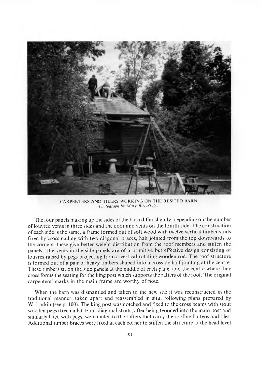

CARPENTERS AND TILERS WORKING ON THE RESITED BARN. *Photograph by Mary Rice-Oxley.* 

The four panels making up the sides of the barn differ slightly, depending on the number of louvred vents in three sides and the door and vents on the fourth side. The construction of each side is the same, a frame formed out of soft wood with twelve vertical timber studs fixed by cross nailing with two diagonal braces, half jointed from the top downwards to the corners; these give better weight distribution from the roof members and stiffen the panels. The vents in the side panels are of a primitive but effective design consisting of louvres raised by pegs projecting from a vertical rotating wooden rod. The roof structure is formed out of a pair of heavy timbers shaped into a cross by half jointing at the centre. These timbers sit on the side panels at the middle of each panel and the centre where they cross forms the seating for the king post which supports the rafters of the roof. The original carpenters' marks in the main frame are worthy of note.

When the barn was dismantled and taken to the new site it was reconstructed in the traditional manner, taken apart and reassembled in situ, following plans prepared by W. Larkin (see p. 100). The king post was notched and fixed to the cross beams with stout wooden pegs (tree nails). Four diagonal struts, after being tenoned into the main post and similarly fixed with pegs, were nailed to the rafters that carry the roofing battens and tiles. A dditional tim ber braces were fixed at each corner to stiffen the structure at the head level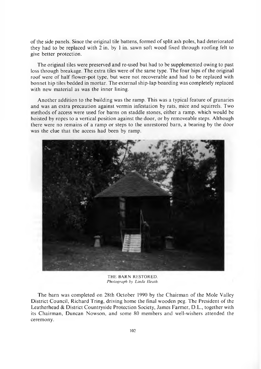of the side panels. Since the original tile battens, formed of split ash poles, had deteriorated they had to be replaced with  $2$  in. by 1 in. sawn soft wood fixed through roofing felt to give better protection.

The original tiles were preserved and re-used but had to be supplemented owing to past loss through breakage. The extra tiles were of the same type. The four hips of the original roof were of half flower-pot type, but were not recoverable and had to be replaced with bonnet hip tiles bedded in mortar. The external ship-lap boarding was completely replaced with new material as was the inner lining.

A nother addition to the building was the ramp. This was a typical feature of granaries and was an extra precaution against vermin infestation by rats, mice and squirrels. Two methods of access were used for barns on staddle stones, either a ramp, which would be hoisted by ropes to a vertical position against the door, or by removeable steps. Although there were no remains of a ramp or steps to the unrestored barn, a bearing by the door was the clue that the access had been by ramp.



THE BARN RESTORED. *Photograph by Linda Heath.*

The barn was completed on 28th October 1990 by the Chairman of the Mole Valley District Council, Richard Tring, driving home the final wooden peg. The President of the Leatherhead & District Countryside Protection Society, James Farmer, D.L., together with its Chairman, Duncan Nowson, and some 80 members and well-wishers attended the ceremony.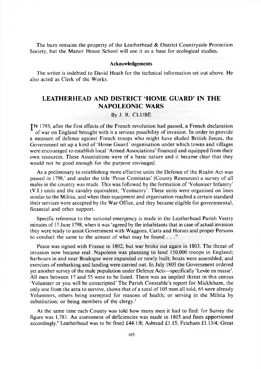The barn remains the property of the Leatherhead  $\&$  District Countryside Protection Society, but the Manor House School will use it as a base for ecological studies.

#### **Acknowledgements**

The writer is indebted to David Heath for the technical information set out above. He also acted as Clerk of the Works.

## **LEATHERHEAD AND DISTRICT HOME GUARD' IN THE NAPOLEONIC WARS**

#### By J. R. CLUBE

J N 1793, after the first effects of the French revolution had passed, a French declaration of war on England brought with it a serious possibility of invasion. In order to provide a measure of defence against French troops who might have eluded British forces, the Government set up a kind of 'Home Guard' organisation under which towns and villages were encouraged to establish local 'Armed A ssociations' financed and equipped from their own resources. These Associations were of a basic nature and it became clear that they would not be good enough for the purpose envisaged.

As a preliminary to establishing more effective units the Defence of the Realm Act was passed in 1798,' and under the title 'Posse Comitatus' (County Resources) a survey of all males in the country was made. This was followed by the formation of 'Volunteer Infantry' (V.I.) units and the cavalry equivalent, 'Yeomanry'. These units were organised on lines similar to the Militia, and when their equipment and organisation reached a certain standard their services were accepted by the War Office, and they became eligible for governmental, financial and other support.

Specific reference to the national emergency is made in the Leatherhead Parish Vestry minutes of 17 June 1798, when it was 'agreed by the inhabitants that in case of actual invasion they were ready to assist Government with Waggons, Carts and Horses and proper Persons to conduct the same to the utmost of what may be found  $\ldots$ .<sup>2</sup>

Peace was signed with France in 1802, but war broke out again in 1803. The threat of invasion now became real. Napoleon was planning to land 150,000 troops in England; harbours in and near Boulogne were expanded or newly built; boats were assembled; and exercises of embarking and landing were carried out. In July 1803 the Government ordered yet another survey of the male population under Defence Acts—specifically 'Levee en masse'. All men between 17 and 55 were to be listed. There was an implied threat in this census 'Volunteer or you will be conscripted' The Parish Constable's report for Mickleham, the only one from the area to survive, shows that of a total of 105 men all told, 65 were already Volunteers, others being exempted for reasons of health; or serving in the Militia by substitution; or being members of the clergy. $<sup>3</sup>$ </sup>

At the same time each County was told how many men it had to find: for Surrey the figure was 1,781. An assessment of deficiencies was made in 1805 and fines apportioned accordingly.<sup>4</sup> Leatherhead was to be fined £44.1/8; Ashtead £1.15; Fetcham £1.13/4; Great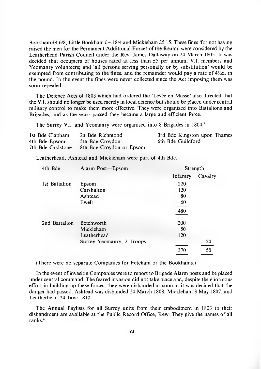Bookham £4.6/8; Little Bookham £-.18/4 and Mickleham £5.15. These fines 'for not having raised the men for the Permanent Additional Forces of the Realm' were considered by the Leatherhead Parish Council under the Rev. James Dallaway on 24 March 1805. It was decided that occupiers of houses rated at less than £5 per annum; V.I. members and Yeomanry volunteers; and 'all persons serving personally or by substitution' would be exempted from contributing to the fines, and the remainder would pay a rate of  $4\frac{1}{2}d$ , in the pound. In the event the fines were never collected since the Act imposing them was soon repealed.

The Defence Acts of 1803 which had ordered the 'Levee en Masse' also directed that the V.I. should no longer be used merely in local defence but should be placed under central military control to make them more effective. They were organized into Battalions and Brigades, and as the years passed they became a large and efficient force.

The Surrey V.I. and Yeomanry were organised into 8 Brigades in 1804:<sup>5</sup>

| 1st Bde Clapham  | 2n Bde Richmond          | 3rd Bde Kingston upon Thames |
|------------------|--------------------------|------------------------------|
| 4th Bde Epsom    | 5th Bde Croydon          | 6th Bde Guildford            |
| 7th Bde Godstone | 8th Bde Croydon or Epsom |                              |

Leatherhead, Ashtead and Mickleham were part of 4th Bde.

| Alarm Post-Epsom          | Strength |         |
|---------------------------|----------|---------|
|                           | Infantry | Cavalry |
| Epsom                     | 220      |         |
| Carshalton                | 120      |         |
| Ashtead                   | 80       |         |
| Ewell                     | 60       |         |
|                           | 480      |         |
| Betchworth                | 200      |         |
| Mickleham                 | 50       |         |
| Leatherhead               | 120      |         |
| Surrey Yeomanry, 2 Troops |          | 50      |
|                           | 370      | 50      |
|                           |          |         |

(There were no separate Companies for Fetcham or the Bookhams.)

In the event of invasion Companies were to report to Brigade Alarm posts and be placed under central command. The feared invasion did not take place and, despite the enormous effort in building up these forces, they were disbanded as soon as it was decided that the danger had passed. A shtead was disbanded 24 M arch 1808; Mickleham 3 May 1807; and Leatherhead 24 June 1810.

The Annual Paylists for all Surrey units from their embodiment in 1803 to their disbandment are available at the Public Record Office, Kew. They give the names of all ranks.6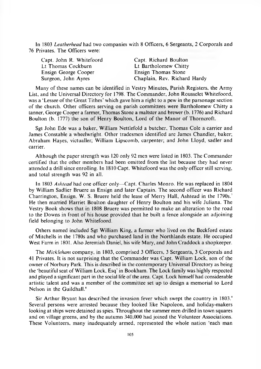In 1803 *Leatherhead* had two companies with 8 Officers, 6 Sergeants, 2 Corporals and 76 Privates. The Officers were:

| Capt. Richard Boulton        |
|------------------------------|
| Lt Bartholomew Chitty        |
| Ensign Thomas Stone          |
| Chaplain, Rev. Richard Hardy |
|                              |

Many of these names can be identified in Vestry Minutes, Parish Registers, the Army List, and the Universal Directory for 1798. The Commander, John Rousselet Whitefoord, was a 'Lessee of the Great Tithes' which gave him a right to a pew in the parsonage section of the church. Other officers serving on parish committees were Bartholomew Chitty a tanner, George Cooper a farmer, Thomas Stone a maltster and brewer (b. 1776) and Richard Boulton (b. 1777) the son of Henry Boulton, Lord of the Manor of Thorncroft.

Sgt John Ede was a baker, William Nettlefold a butcher, Thomas Cole a carrier and James Constable a wheelwright. Other tradesmen identified are James Chandler, baker; A braham Hayes, victualler; William Lipscomb, carpenter; and John Lloyd, sadler and carrier.

Although the paper strength was  $120$  only 92 men were listed in 1803. The Commander certified that the other members had been omitted from the list because they had never attended a drill since enrolling. In 1810 Capt. W hitefoord was the only officer still serving, and total strength was 92 in all.

In 1803 *Ashtead* had one officer only-Capt. Charles Monro. He was replaced in 1804 by William Sadlier Bruere as Ensign and later Captain. The second officer was Richard Charrington, Ensign. W. S. Bruere held the lease of Merry Hall, Ashtead in the 1790s.<sup>7</sup> He then married Harriet Boulton daughter of Henry Boulton and his wife Juliana. The Vestry Book shows that in 1808 Bruere was permitted to make an alteration to the road to the Downs in front of his house provided that he built a fence alongside an adjoining field belonging to John Whitefoord.

O thers named included Sgt William King, a farmer who lived on the Beckford estate of Mitchells in the 1780s and who purchased land in the Northlands estate. He occupied West Farm in 1801. Also Jeremiah Daniel, his wife Mary, and John Craddock a shopkeeper.

The *Mickleham* company, in 1803, comprised 3 Officers, 3 Sergeants, 3 Corporals and 41 Privates. It is not surprising that the Commander was Capt. William Lock, son of the owner of Norbury Park. This is described in the contemporary Universal Directory as being the 'beautiful seat of William Lock, Esq' in Bookham. The Lock family was highly respected and played a significant part in the social life of the area. Capt. Lock himself had considerable artistic talent and was a member of the committee set up to design a memorial to Lord Nelson in the Guildhall.<sup>8</sup>

Sir Arthur Bryant has described the invasion fever which swept the country in  $1803$ . Several persons were arrested because they looked like Napoleon, and holiday-makers looking at ships were detained as spies. Throughout the summer men drilled in town squares and on village greens, and by the autumn 340,000 had joined the Volunteer Associations. These Volunteers, many inadequately armed, represented the whole nation 'each man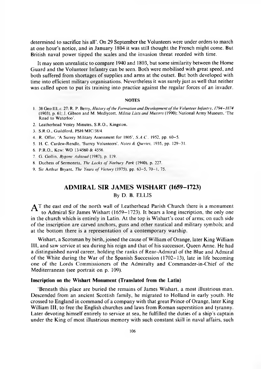determined to sacrifice his all'. On 29 September the Volunteers were under orders to march at one hour's notice, and in January 1804 it was still thought the French might come. But British naval power tipped the scales and the invasion threat receded with time.

It may seem unrealistic to compare 1940 and 1803, but some similarity between the Home Guard and the Volunteer Infantry can be seen. Both were mobilised with great speed, and both suffered from shortages of supplies and arms at the outset. But both developed with time into efficient military organisations. Nevertheless it was surely just as well that neither was called upon to put its training into practice against the regular forces of an invader.

#### **NOTES**

- 1. 38 Geo III, *c.* 27: R. P. Berry, *History of the Formation and Development of the Volunteer Infantry, 1794–1874* (1903), p. 61; J. Gibson and M. Medlycott, *Militia Lists and Musters* (1990); National Army Museum, 'The Road to Waterloo'.
- 2. Leatherhead Vestry Minutes, S.R.O., Kingston.
- 3. S.R.O., Guildford. PSH/MIC/38/4.
- 4. R. Offor, 'A Surrey Military Assessment for 1805', *S.A.C.*, 1952, pp. 60-5.
- 5. H. C. Cardew-Rendle, 'Surrey Volunteers', *Notes Queries.* 1935, pp. 129-31.
- 6. P.R.O., Kew: WO 13/4560 & 4556.
- 7. G. Gollin. *Bygone Ashtead* (1987), p. 119.
- 8. Duchess of Sermoneta, *The Locks of Norbury Park* (1940), p. 227.
- 9. Sir Arthur Bryant, *The Years of Victory* (1975), pp. 63-5, 70-1, 75.

### **ADMIRAL SIR JAMES WISHART (1659-1723)** By D. B. ELLIS

 $\Delta$ T the east end of the north wall of Leatherhead Parish Church there is a monument to Admiral Sir James Wishart (1659–1723). It bears a long inscription, the only one in the church which is entirely in Latin. At the top is W ishart's coat of arms; on each side of the inscription are carved anchors, guns and other nautical and military symbols; and at the bottom there is a representation of a contemporary warship.

Wishart, a Scotsman by birth, joined the cause of William of Orange, later King William III, and saw service at sea during his reign and that of his successor, Queen Anne. He had a distinguished naval career, holding the ranks of Rear-Admiral of the Blue and Admiral of the White during the War of the Spanish Succession  $(1702-13)$ , late in life becoming one of the Lords Commissioners of the Admiralty and Commander-in-Chief of the Mediterranean (see portrait on p. 109).

#### **Inscription on the Wishart Monument (Translated from the Latin)**

'Beneath this place are buried the remains of James Wishart, a most illustrious man. Descended from an ancient Scottish family, he migrated to Holland in early youth. He crossed to England in command of a company with that great Prince of Orange, later King William III, to free the English churches and laws from Roman superstition and tyranny. Later devoting himself entirely to service at sea, he fulfilled the duties of a ship's captain under the King of most illustrious memory with such constant skill in naval affairs, such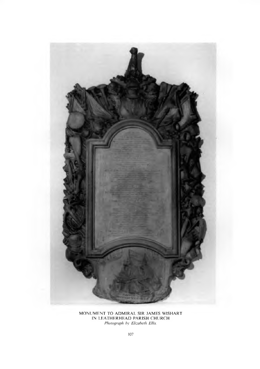

MONUMENT TO ADMIRAL SIR JAMES WISHART IN LEATHERHEAD PARISH CHURCH *Photograph by Elizabeth Ellis.*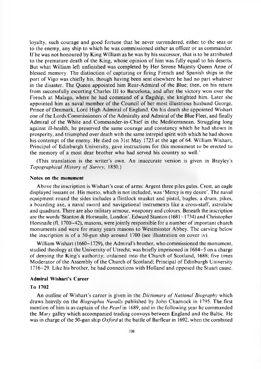loyalty, such courage and good fortune that he never surrendered, either to the seas or to the enemy, any ship to which he was commissioned either as officer or as commander. If he was not honoured by King William as he was by his successor, that is to be attributed to the prem ature death of the King, whose opinion of him was fully equal to his deserts. But what William left unfinished was completed by Her Serene Majesty Queen Anne of blessed memory. The distinction of capturing or firing French and Spanish ships in the port of Vigo was chiefly his, though having been sent elsewhere he had no part whatever in the disaster. The Queen appointed him Rear-Admiral of the Blue; then, on his return from successfully escorting Charles III to Barcelona, and after the victory won over the French at Malaga, where he had command of a flagship, she knighted him. Later she appointed him as naval member of the Council of her most illustrious husband George, Prince of Denmark, Lord High Admiral of England. On his death she appointed Wishart one of the Lords Commissioners of the Admiralty and Admiral of the Blue Fleet, and finally Admiral of the White and Commander-in-Chief in the Mediterranean. Struggling long against ill-health, he preserved the same courage and constancy which he had shown in prosperity, and trium phed over death with the same intrepid spirit with which he had shown his contempt of the enemy. He died on 31st May 1723 at the age of 64. William Wishart, Principal of Edinburgh University, gave instructions for this monument to be erected to the memory of a most dear brother who had served his country so well.'

(This translation is the w riter's own. An inaccurate version is given in Brayley's *Topographical History of Surrey, 1850.)* 

#### **Notes on the monument**

Above the inscription is Wishart's coat of arms: Argent three piles gules. Crest, an eagle displayed issuant or. His motto, which is not included, was 'Mercy is my desire'. The naval equipment round the sides includes a flintlock musket and pistol, bugles, a drum, pikes, a boarding axe, a naval sword and navigational instruments like a cross-staff, astrolabe and quadrant. There are also military armour, weaponry and colours. Beneath the inscription are the words 'Stanton & Horsnaile, London'. Edward Stanton (1681-1734) and Christopher Horsnaile (fl. 1700–42), masons, were jointly responsible for a number of important church monuments and were for many years masons to Westminster Abbey. The carving below the inscription is of a 50-gun ship around 1700 (see illustration on cover iv).

William Wishart (1660–1729), the Admiral's brother, who commissioned the monument, studied theology at the University of Utrecht; was briefly imprisoned in 1684-5 on a charge of denying the King's authority; ordained into the Church of Scotland, 1688; five times Moderator of the Assembly of the Church of Scotland; Principal of Edinburgh University 1716-29. Like his brother, he had connections with Holland and opposed the Stuart cause.

#### **Admiral Wishart's Career**

#### **To 1702**

An outline of Wishart's career is given in the *Dictionary of National Biography* which draws heavily on the *Biographia Navalis* published by John C harnock in 1795. The first mention of him is as captain of the *Pearl* in 1689, and in the following year he commanded the *Mary* galley which accompanied trading convoys between England and the Baltic. He was in charge of the 50-gun ship *Oxford* at the battle of Barfleur in 1692, when the combined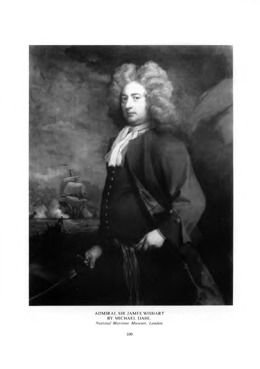

ADMIRAL SIR JAMES WISHART BY MICHAEL DAHL *N ational M aritim e M useum , London.*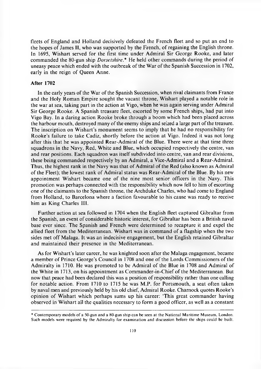fleets of England and Holland decisively defeated the French fleet and so put an end to the hopes of James II, who was supported by the French, of regaining the English throne. In 1695, Wishart served for the first time under Admiral Sir George Rooke, and later commanded the 80-gun ship *Dorsetshire*.<sup>\*</sup> He held other commands during the period of uneasy peace which ended with the outbreak of the War of the Spanish Succession in 1702, early in the reign of Queen Anne.

#### **After 1702**

In the early years of the War of the Spanish Succession, when rival claimants from France and the Holy Roman Empire sought the vacant throne, Wishart played a notable role in the war at sea, taking part in the action at Vigo, when he was again serving under Admiral Sir George Rooke. A Spanish treasure fleet, escorted by some French ships, had put into Vigo Bay. In a daring action Rooke broke through a boom which had been placed across the harbour mouth, destroyed many of the enemy ships and seized a large part of the treasure. The inscription on Wishart's monument seems to imply that he had no responsibility for R ooke's failure to take Cadiz, shortly before the action at Vigo. Indeed it was not long after this that he was appointed Rear-Admiral of the Blue. There were at that time three squadrons in the Navy, Red, W hite and Blue, which occupied respectively the centre, van and rear positions. Each squadron was itself subdivided into centre, van and rear divisions, these being commanded respectively by an Admiral, a Vice-Admiral and a Rear-Admiral. Thus, the highest rank in the Navy was that of Admiral of the Red (also known as Admiral of the Fleet); the lowest rank of Admiral status was Rear-A dm iral of the Blue. By his new appointment Wishart became one of the nine most senior officers in the Navy. This prom otion was perhaps connected with the responsibility which now fell to him of escorting one of the claimants to the Spanish throne, the Archduke Charles, who had come to England from Holland, to Barcelona where a faction favourable to his cause was ready to receive him as King Charles III.

Further action at sea followed in 1704 when the English fleet captured Gibraltar from the Spanish, an event of considerable historic interest, for Gibraltar has been a British naval base ever since. The Spanish and French were determined to recapture it and expel the allied fleet from the Mediterranean. Wishart was in command of a flagship when the two sides met off Malaga. It was an indecisive engagement, but the English retained Gibraltar and maintained their presence in the Mediterranean.

As for Wishart's later career, he was knighted soon after the Malaga engagement, became a member of Prince George's Council in 1708 and one of the Lords Commissioners of the Admiralty in 1710. He was promoted to be Admiral of the Blue in 1708 and Admiral of the White in 1713, on his appointment as Commander-in-Chief of the Mediterranean. But now that peace had been declared this was a position of responsibility rather than one calling for notable action. From 1710 to 1715 he was M.P. for Portsmouth, a seat often taken by naval men and previously held by his old chief, Admiral Rooke. Charnock quotes Rooke's opinion of Wishart which perhaps sums up his career: 'This great commander having observed in Wishart all the qualities necessary to form a good officer, as well as a constant

<sup>\*</sup> C ontem porary models of a 50-gun and a 80-gun ship can be seen at the National M aritime Museum, London. Such models were required by the Admiralty for examination and discussion before the ships could be built.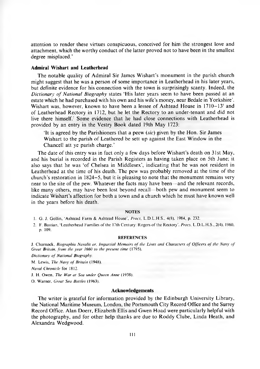attention to render these virtues conspicuous, conceived for him the strongest love and attachment, which the worthy conduct of the latter proved not to have been in the smallest degree misplaced.'

#### **Admiral Wishart and Leatherhead**

The notable quality of Admiral Sir James Wishart's monument in the parish church might suggest that he was a person of some importance in Leatherhead in his later years, but definite evidence for his connection with the town is surprisingly scanty. Indeed, the *Dictionary of National Biography* states 'His later years seem to have been passed at an estate which he had purchased with his own and his wife's money, near Bedale in Yorkshire'. Wishart was, however, known to have been a lessee of Ashtead House in  $1710-13'$  and of Leatherhead Rectory in 1712, but he let the Rectory to an under-tenant and did not live there himself.<sup>2</sup> Some evidence that he had close connections with Leatherhead is provided by an entry in the Vestry Book dated 19th May 1723:

'It is agreed by the Parishioners that a peew *(sic)* given by the Hon. Sir James Wishart to the parish of Leathered be sett up against the East Window in the Chancell att ye parish charge.'

The date of this entry was in fact only a few days before Wishart's death on 31st May, and his burial is recorded in the Parish Registers as having taken place on 5th June; it also says that he was 'of Chelsea in Middlesex', indicating that he was not resident in Leatherhead at the time of his death. The pew was probably removed at the time of the church's restoration in  $1824-5$ , but it is pleasing to note that the monument remains very near to the site of the pew. Whatever the facts may have been—and the relevant records, like many others, may have been lost beyond recall—both pew and monument seem to indicate Wishart's affection for both a town and a church which he must have known well in the years before his death.

#### **NOTES**

1. G. J. Gollin, 'Ashtead Farm & Ashtead House', *Procs*, L.D.L.H.S., 4(8), 1984, p. 232.

2. F. Bastian, 'Leatherhead Families of the 17th Century: Rogers of the Rectory', *Procs, L.D.L.H.S., 2(4), 1960.* p. 109.

#### **REFERENCES**

J. Charnock, *Biographia Navalis or. Impartial Memoirs of the Lives and Characters of Officers of the Navy of Great Britain, from the year 1660 to the present time* (1795).

*Dictionary of National Biography.* 

M. Lewis, *The Navy of Britain* (1948).

*Naval Chronicle* for 1812.

J. H. Owen, *The War at Sea under Queen Anne* (1938).

O. W arner. *Great Sea Buttles* (1963).

#### **Acknowledgements**

The writer is grateful for information provided by the Edinburgh University Library, the National Maritime Museum, London, the Portsmouth City Record Office and the Surrey Record Office. Alan Doerr, Elizabeth Ellis and Gwen Hoad were particularly helpful with the photography, and for other help thanks are due to Roddy Clube, Linda Heath, and Alexandra Wedgwood.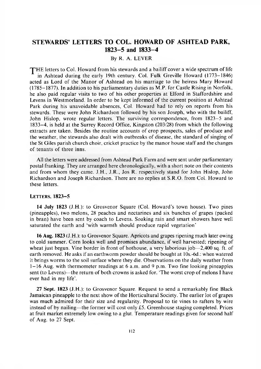## **STEWARDS' LETTERS TO COL. HOWARD OF ASHTEAD PARK, 1823-5 and 1833-4**

#### By R. A. LEVER

THE letters to Col. Howard from his stewards and a bailiff cover a wide spectrum of life in Ashtead during the early 19th century. Col. Fulk Greville Howard (1773–1846) acted as Lord of the Manor of Ashtead on his marriage to the heiress Mary Howard  $(1785-1877)$ . In addition to his parliamentary duties as M.P. for Castle Rising in Norfolk, he also paid regular visits to two of his other properties at Elford in Staffordshire and Levens in Westmorland. In order to be kept informed of the current position at A shtead Park during his unavoidable absences, Col. Howard had to rely on reports from his stewards. These were John R ichardson followed by his son Joseph, who with the bailiff, John Hislop, wrote regular letters. The surviving correspondence, from 1823–5 and 1833-4, is held at the Surrey R ecord Office, K ingston (203/28) from which the following extracts are taken. Besides the routine accounts of crop prospects, sales of produce and the weather, the stewards also dealt with outbreaks of disease, the standard of singing of the St Giles parish church choir, cricket practice by the manor house staff and the changes of tenants of three inns.

All the letters were addressed from Ashtead Park Farm and were sent under parliamentary postal franking. They are arranged here chronologically, with a short note on their contents and from whom they came. J.H., J.R., Jos R. respectively stand for John Hislop, John Richardson and Joseph Richardson. There are no replies at S.R.O. from Col. Howard to these letters.

#### LETTERS, 1823-5

14 July 1823 (J.H.): to Grosvenor Square (Col. Howard's town house). Two pines (pineapples), two melons, 28 peaches and nectarines and six bunches of grapes (packed in bran) have been sent by coach to Levens. Soaking rain and smart showers have well saturated the earth and 'with warmth should produce rapid vegetation'

16 Aug. 1823 (J.H.): to Grosvenor Square. Apricots and grapes ripening much later owing to cold summer. Corn looks well and promises abundance, if well harvested; ripening of wheat just begun. Vine border in front of hothouse, a very laborious job $-2,400$  sq. ft. of earth removed. He asks if an earthw orm pow der should be bought at 10s.-6d.: when watered it brings worms to the soil surface where they die. Observations on the daily weather from  $1 - 16$  Aug. with thermometer readings at 6 a.m. and 9 p.m. Two fine looking pineapples sent (to Levens)—the return of both crowns is asked for. 'The worst crop of melons I have ever had in my life'.

27 Sept. 1823 (J.H.): to Grosvenor Square. Request to send a remarkably fine Black Jamaican pineapple to the next show of the Horticultural Society. The earlier lot of grapes was much admired for their size and regularity. Proposal to tie vines to rafters by wire instead of by nailing—the former will cost only £5. Greenhouse staging completed. Prices at fruit market extremely low owing to a glut. Temperature readings given for second half of Aug. to 27 Sept.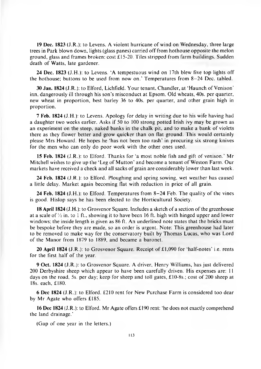**19 Dec. 1823** (J.R.): to Levens. A violent hurricane of wind on Wednesday, three large trees in Park blown down, lights (glass panes) carried off from hothouse opposite the melon ground, glass and frames broken: cost £15-20. Tiles stripped from farm buildings. Sudden death of Watts, late gardener.

**24 Dec. 1823** (J.H.): to Levens. 'A tempestuous wind on 17th blew five top lights off the hothouse; buttons to be used from now on.' Temperatures from  $8-24$  Dec. tabled.

**30 Jan. 1824 (J.R.):** to Elford, Lichfield. Y our tenant. Chandler, at 'H aunch of Venison' inn, dangerously ill through his son's misconduct at Epsom. Old wheats, 40s. per quarter, new wheat in proportion, best barley 36 to 40s. per quarter, and other grain high in proportion.

**7 Feb. 1824** (J.H.): to Levens. Apology for delay in writing due to his wife having had a daughter two weeks earlier. Asks if 50 to 100 strong potted Irish ivy may be grown as an experiment on the steep, naked banks in the chalk pit, and to make a bank of violets there as they flower better and grow quicker than on flat ground. This would certainly please Mrs Howard. He hopes he 'has not been too rash' in procuring six strong knives for the men who can only do poor work with the other ones used.

**15 Feb. 1824** (J.R.): to Elford. Thanks for 'a most noble fish and gift of venison.' Mr Mitchell wishes to give up the 'Leg of Mutton' and become a tenant of Weston Farm. Our markets have received a check and all sacks of grain are considerably lower than last week.

**24 Feb. 1824** (J.R.): to Elford. Ploughing and spring sowing, wet weather has caused a little delay. Market again becoming flat with reduction in price of all grain.

**24 Feb. 1824** (J.H.): to Elford. Temperatures from 8-24 Feb. The quality of the vines is good. Hislop says he has been elected to the Horticultural Society.

**18 April 1824** (J.H.): to Grosvenor Square. Includes a sketch of a section of the greenhouse at a scale of  $\frac{1}{2}$  in. to 1 ft., showing it to have been 16 ft. high with hinged upper and lower windows; the inside length is given as 86 ft. An underlined note states that the bricks must be bespoke before they are made, so an order is urgent. Note: This greenhouse had later to be removed to make way for the conservatory built by Thomas Lucas, who was Lord of the Manor from 1879 to 1889, and became a baronet.

**20 April 1824** (J.R.): to Grosvenor Square. Receipt of  $\pounds1,090$  for 'half-notes' i.e. rents for the first half of the year.

**9 Oct. 1824 (J.R.): to Grosvenor Square. A driver, Henry Williams, has just delivered** 200 Derbyshire sheep which appear to have been carefully driven. His expenses are: 11 days on the road, 5s. per day; keep for sheep and toll gates,  $£10-8s$ ; cost of 200 sheep at 18s. each, £180.

**6 Dec 1824 (J.R.):** to Elford. £210 rent for New Purchase Farm is considered too dear by Mr Agate who offers £185.

16 Dec 1824 (J.R.): to Elford. Mr Agate offers £190 rent: 'he does not exactly comprehend the land drainage.'

(Gap of one year in the letters.)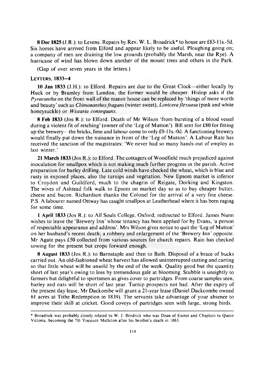**8 Dec 1825** (J.R.): to Levens. Repairs by Rev. W. L. Broadrick\* to house are £83-1 ls.-5d. Six horses have arrived from Elford and appear likely to be useful. Ploughing going on; a company of men are draining the low grounds (probably the Marsh, near the Rye). A hurricane of wind has blown down another of the mount trees and others in the Park.

(Gap of over seven years in the letters.)

#### LETTERS, 1833-4

**10 Jan 1833** (J.H.): to Elford. Repairs are due to the Great Clock—either locally by Huck or by Bramley from London, the former would be cheaper. Hislop asks if the *Pyrocantha* on the front wall of the manor house can be replaced by 'things of more worth and beauty' such as *Chimonanthes fragans* (winter sweet), *Lonicera flexuosa* (pink and white honeysuckle) or *Wistaria consequans.*

**8 Feb 1833** (Jos R.): to Elford. Death of Mr Wilson 'from bursting of a blood vessel during a violent fit of retching' (owner of the 'Leg of Mutton'). Bill sent for £80 for fitting up the brewery—the bricks, lime and labour come to only £9-1 ls.-Od. A functioning brewery would finally put down the nuisance in front of the 'Leg of Mutton'. A Labour Rate has received the sanction of the magistrates: 'We never had so many hands out of employ as last winter.'

**21 March 1833** (Jos R.): to Elford. The cottagers of Woodfield much prejudiced against inoculation for smallpox which is not making much further progress in the parish. Active preparation for barley drilling. Late cold winds have checked the wheat, which is blue and rusty in exposed places, also the turnips and vegetation. New Epsom market is inferior to Croydon and Guildford, much to the chagrin of Reigate, Dorking and Kingston. The wives of Ashtead folk walk to Epsom on market day so as to buy cheaper butter, cheese and bacon. Richardson thanks the Colonel for the arrival of a very fine cheese. P.S. A labourer named Ottway has caught smallpox at Leatherhead where it has been raging for some time.

**1 April 1833** (Jos R.): to All Souls College, Oxford, redirected to Elford. James Nunn wishes to leave the 'Brewery Inn' whose tenancy has been applied for by Evans, 'a person of respectable appearance and address'. Mrs Wilson gives notice to quit the 'Leg of M utton' on her husband's recent death; a robbery and enlargement of the 'Brewery Inn' opposite. Mr Agate pays  $£50$  collected from various sources for church repairs. Rain has checked sowing for the present but crops forward enough.

**8 August 1833** (Jos R.): to Barnstaple and then to Bath. Disposal of a brace of bucks carried out. An old-fashioned wheat harvest has allowed uninterrupted cutting and carting so that little wheat will be unsold by the end of the week. Quality good but the quantity short of last year's owing to loss by tremendous gale at blooming. Stubble is unsightly to farmers but delightful to sportsmen as gives cover to partridges. From coarse samples seen, barley and oats will be short of last year. Turnip prospects not bad. After the expiry of the present day lease, Mr Dackombe will grant a 21-year lease (Daniel Dackcombe owned 61 acres at Tithe Redemption in 1839). The servants take advantage of your absence to improve their skill at cricket. Good coveys of partridges seen with large, strong birds.

<sup>\*</sup> Broadrick was probably closely related to W. J. Brodrick who was Dean of Exeter and Chaplain to Queen Victoria, becoming the 7th Viscount Midleton after his brother's death in 1863.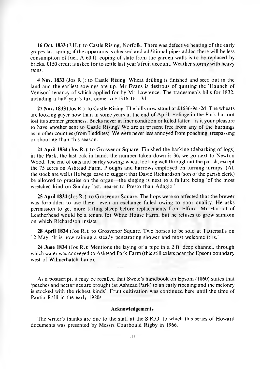**16 Oct. 1833 (J.H.): to Castle Rising, Norfolk. There was defective heating of the early** grapes last spring; if the apparatus is checked and additional pipes added there will be less consumption of fuel. A 60 ft. coping of slate from the garden walls is to be replaced by bricks.  $£150$  credit is asked for to settle last year's fruit account. Weather stormy with heavy rains.

**4 Nov. 1833** (Jos R.): to C astle Rising. W heat drilling is finished and seed out in the land and the earliest sowings are up. Mr Evans is desirous of quitting the 'Haunch of Venison' tenancy of which applied for by Mr Lawrence. The tradesmen's bills for 1832, including a half-year's tax, come to £1316-16s.-3d.

27 Nov. 1833 (Jos R.): to Castle Rising. The bills now stand at £1636-9s.-2d. The wheats are looking gayer now than in some years at the end of April. Foliage in the Park has not lost its summer greenness. Bucks never in finer condition or killed fatter—is it your pleasure to have another sent to Castle Rising? We are at present free from any of the burnings as in other counties (from Luddites). We were never less annoyed from poaching, trespassing or shooting than this season.

**21 April 1834** (Jos R.): to Grosvenor Square. Finished the barking (debarking of logs) in the Park, the last oak in hand; the number taken down is  $36$ ; we go next to Newton Wood. The end of oats and barley sowing; wheat looking well throughout the parish, except the 75 acres on Ashtead Farm. Ploughs and harrows employed on turning turnips. (All the stock are well.) He begs leave to suggest that David Richardson (son of the parish clerk) be allowed to practise on the organ—the singing is next to a failure being 'of the most wretched kind on Sunday last, nearer to Presto than Adagio.'

**25 April 1834** (Jos R.): to Grosvenor Square. The hops were so affected that the brewer was forbidden to use them—even an exchange failed owing to poor quality. He asks permission to get more fatting sheep before replacements from Elford. Mr Harriot of Leatherhead would be a tenant for White House Farm, but he refuses to grow sainfoin on which R ichardson insists.

**28 April 1834** (Jos R.): to Grosvenor Square. Two horses to be sold at Tattersalls on 12 May. 'It is now raining a steady penetrating shower and most welcome it is.'

**24 June 1834** (Jos R.): Mentions the laying of a pipe in a 2 ft. deep channel, through which water was conveyed to Ashtead Park Farm (this still exists near the Epsom boundary west of Wilmerhatch Lane).

As a postscript, it may be recalled that Swete's handbook on Epsom (1860) states that 'peaches and nectarines are brought (at A shtead Park) to an early ripening and the melonry is stocked with the richest kinds'. Fruit cultivation was continued here until the time of Pantia Ralli in the early 1920s.

#### **Acknowledgements**

The writer's thanks are due to the staff at the S.R.O. to which this series of Howard documents was presented by Messrs Courbould Rigby in 1966.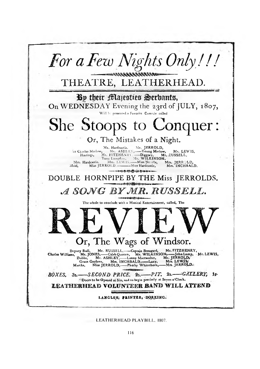

LEATHERHEAD PLAYBILL, 1807.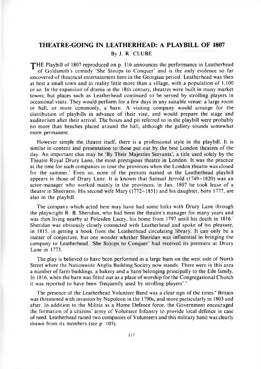#### **THEATRE-GOING IN LEATHERHEAD: A PLAYBILL OF 1807**

#### By J. R. CLU BE

<span id="page-22-0"></span>THE Playbill of 1807 reproduced on p. 116 announces the performance in Leatherhead of Goldsmith's comedy 'She Stoops to Conquer' and is the only evidence so far uncovered of theatrical entertainment here in the Georgian period. Leatherhead was then at best a small town and in reality little more than a village, with a population of 1,100 or so. In the expansion of drama in the 18th century, theatres were built in many market towns; but places such as Leatherhead continued to be served by strolling players in occasional visits. They would perform for a few days in any suitable venue; a large room or hall, or more commonly, a barn. A visiting com pany would arrange for the distribution of playbills in advance of their visit, and would prepare the stage and auditorium after their arrival. The boxes and pit referred to in the playbill were probably no more than benches placed around the hall, although the gallery sounds somewhat more permanent.

However simple the theatre itself, there is a professional style in the playbill. It is similar in content and presentation to those put out by the best London theatres of the day. An im portant clue may be 'By Their Majesties Servants', a title used solely by the Theatre Royal Drury Lane, the most prestigious theatre in London. It was the practice at the time for such companies to tour the provinces when the London theatre was closed for the summer.<sup>1</sup> Even so, none of the persons named in the Leatherhead playbill appears in those of Drury Lane. It is known that Samuel Jerrold (1749-1820) was an actor-manager who worked mainly in the provinces; in Jan. 1807 he took lease of a theatre in Sheerness. His second wife Mary  $(1772-1851)$  and his daughter, born 1777, are also in the playbill.

The company which acted here may have had some links with Drury Lane through the playwright R. B. Sheridan, who had been the theatre's manager for many years and was then living nearby at Polesden Lacey, his home from 1797 until his death in 1816.<sup>2</sup> Sheridan was obviously closely connected with Leatherhead and spoke of his pleasure, in 1815, in getting a book from the Leatherhead circulating library. It can only be a m atter of conjecture, but one wonder whether Sheridan was influential in bringing the company to Leatherhead. 'She Stoops to Conquer' had received its premiere at Drury Lane in 1773.

The play is believed to have been performed in a large barn on the west side of North Street where the Nationwide Anglia Building Society now stands. There were in this area a number of farm buildings, a bakery and a barn belonging principally to the Ede family. In 1816, when the barn was fitted out as a place of worship for the Congregational Church it was reported to have been 'frequently used by strolling players'.'

The presence of the Leatherhead Volunteer Band was a clear sign of the times.<sup>4</sup> Britain was threatened with invasion by Napoleon in the 1790s, and more particularly in 1803 and after. In addition to the Militia as a Home Defence force, the Government encouraged the formation of a citizens' army of Volunteer Infantry to provide local defence in case of need. Leatherhead raised two companies of Volunteers and this military band was clearly drawn from its members (see p. 105).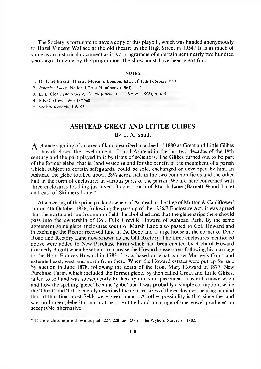The Society is fortunate to have a copy of this playbill, which was handed anonymously to Hazel Vincent Wallace at the old theatre in the High Street in 1954.<sup>5</sup> It is as much of value as an historical document as it is a programme of entertainment nearly two hundred years ago. Judging by the programme, the show must have been great fun.

#### **NOTES**

- 1. Dr Janet Birkett, Theatre Museum, London, letter of 13th February 1991.
- 2. *Polesden Lacey*. National Trust Handbook (1964), p. 5.
- 3. E. E. Cleal, *The Story of Congregationalism in Surrey* (1908), p. 415.
- 4. P R O. (Kew). WO 13/4560.
- 5. Society Records, LW 95.

## **ASHTEAD GREAT AND LITTLE GLIBES**

#### By L. A. Smith

 $\boldsymbol{A}$  chance sighting of an area of land described in a deed of 1880 as Great and Little Glibes has disclosed the development of rural Ashtead in the last two decades of the 19th century and the part played in it by firms of solicitors. The Glibes turned out to be part of the former glebe, that is, land vested in and for the benefit of the incumbent of a parish which, subject to certain safeguards, could be sold, exchanged or developed by him. In A shtead the glebe totalled about  $28\frac{1}{2}$  acres, half in the two common fields and the other half in the form of enclosures in various parts of the parish. We are here concerned with three enclosures totalling just over  $10$  acres south of Marsh Lane (B arnett Wood Lane) and east of Skinners Lane.\*

At a meeting of the principal landowners of Ashtead at the 'Leg of Mutton  $\&$  Cauliflower' inn on 4th October 1838, following the passing of the 1836/7 Enclosure Act, it was agreed that the north and south common fields be abolished and that the glebe strips there should pass into the ownership of Col. Fulk Greville Howard of Ashtead Park. By the same agreement some glebe enclosures south of Marsh Lane also passed to Col. Howard and in exchange the Rector received land in the Dene and a large house at the corner of Dene Road and Rectory Lane now known as the Old Rectory. The three enclosures mentioned above were added to New Purchase Farm which had been created by Richard Howard (formerly Bagot) when he set out to increase the Howard possessions following his marriage to the Hon. Frances Howard in 1783. It was based on what is now Murrey's Court and extended east, west and north from there. When the Howard estates were put up for sale by auction in June 1878, following the death of the Hon. Mary Howard in 1877, New Purchase Farm, which included the former glebe, by then called Great and Little Glibes, failed to sell and was subsequently broken up and sold piecemeal. It is not known when and how the spelling 'glebe' became 'glibe' but it was probably a simple corruption, while the 'Great' and 'Little' merely described the relative sizes of the enclosures, bearing in mind that at that time most fields were given names. Another possibility is that since the land was no longer glebe it could not be so entitled and a change of one vowel produced an acceptable alternative.

<sup>\*</sup> These enclosures are shown as plots 227, 228 and 237 on the W yburd Survey of 1802.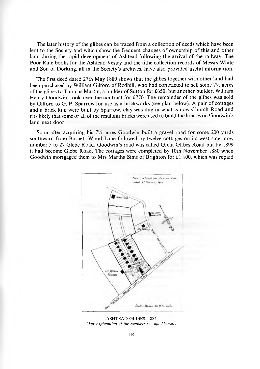The later history of the glibes can be traced from a collection of deeds which have been lent to the Society and which show the frequent changes of ownership of this and other land during the rapid development of Ashtead following the arrival of the railway. The Poor Rate books for the Ashtead Vestry and the tithe collection records of Messrs White and Son of Dorking, all in the Society's archives, have also provided useful information.

The first deed dated 27th May 1880 shows that the glibes together with other land had been purchased by William Gilford of Redhill, who had contracted to sell some  $7\frac{1}{2}$  acres of the glibes to Thomas Martin, a builder of Sutton for  $£650$ , but another builder, William Henry Goodwin, took over the contract for £770. The remainder of the glibes was sold by Gilford to G. P. Sparrow for use as a brickworks (see plan below). A pair of cottages and a brick kiln were built by Sparrow, clay was dug in what is now Church Road and it is likely that some or all of the resultant bricks were used to build the houses on Goodwin's land next door.

Soon after acquiring his  $7\frac{1}{2}$  acres Goodwin built a gravel road for some 200 yards southward from Barnett Wood Lane followed by twelve cottages on its west side, now number 5 to 27 Glebe Road. Goodwin's road was called Great Glibes Road but by 1899 it had become Glebe Road. The cottages were completed by 10th November 1880 when Goodwin mortgaged them to Mrs Martha Sims of Brighton for  $£1,100$ , which was repaid



**ASHTEAD GLIBES, 1882** *(For explanation of the numbers see pp. 119-20)*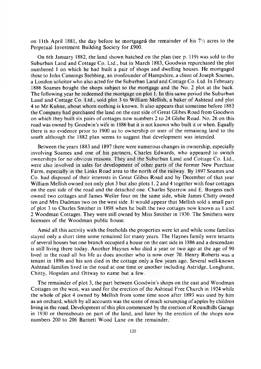on 11th April 1881, the day before he mortgaged the remainder of his  $7\frac{1}{2}$  acres to the Perpetual Investment Building Society for £900.

On 6th January 1882, the land shown hatched on the plan (see p. 119) was sold to the Suburban Land and Cottage Co. Ltd., but in March 1883, Goodwin repurchased the plot numbered 1 on which he had built a pair of shops and dwelling houses. He mortgaged these to John Cannings Stebbing, an ironfounder of Hampshire, a client of Joseph Soames, a London solicitor who also acted for the Suburban Land and Cottage Co. Ltd. In February 1886 Soames bought the shops subject to the mortgage and the No. 2 plot at the back. The following year he redeemed the mortgage on plot 1. In this same period the Suburban Land and Cottage Co. Ltd., sold plot 3 to William Mellish, a baker of Ashtead and plot 4 to Mr Kuhne, about whom nothing is known. It also appears that sometime before 1883 the Company had purchased the land on the east side of Great Glibes Road from Goodwin on which they built six pairs of cottages now numbers 2 to 24 Glebe Road. No. 26 on this road was owned by Goodwin's wife in 1886 but it is not known who built it or when. Equally there is no evidence prior to 1900 as to ownership or user of the remaining land to the south although the 1882 plan seems to suggest that development was intended.

Between the years 1883 and 1897 there were numerous changes in ownership, especially involving Soames and one of his partners, Charles Edwards, who appeared to switch ownerships for no obvious reasons. They and the Suburban Land and Cottage Co. Ltd., were also involved in sales for development of other parts of the former New Purchase Farm, especially in the Links Road area to the north of the railway. By 1897 Soames and Co. had disposed of their interests in Great Glibes Road and by December of that year William Mellish owned not only plot 3 but also plots 1, 2 and 4 together with four cottages on the east side of the road and the detached one. Charles Sparrow and E. Burgess each owned two cottages and James Weller four on the same side, while James Chitty owned ten and Mrs Dudman two on the west side. It would appear that Mellish sold a small part of plot 3 to Charles Smither in 1898 when he built the two cottages now known as 1 and 2 Woodman Cottages. They were still owned by Miss Smither in 1930. The Smithers were licensees of the Woodman public house.

Amid all this activity with the freeholds the properties were let and while some families stayed only a short time some remained for many years. The Haynes family were tenants of several houses but one branch occupied a house on the east side in 1886 and a descendant is still living there today. Another Haynes who died a year or two ago at the age of 90 lived in the road all his life as does another who is now over 70. Henry Roberts was a tenant in 1896 and his son died in the cottage only a few years ago. Several well-known A shtead families lived in the road at one time or another including Astridge, Longhurst, Chitty, Hogsden and Ottway to name but a few.

The remainder of plot 3, the part between Goodwin's shops on the east and Woodman Cottages on the west, was used for the erection of the Ashtead Free Church in 1924 while the whole of plot 4 owned by Mellish from some time soon after 1893 was used by him as an orchard, which by all accounts was the scene of much scrumping of apples by children living in the road. Development of this plot commenced by the erection of Roundhills Garage in 1930 or thereabouts on part of the land, and later by the erection of the shops now numbers 200 to 206 Barnett Wood Lane on the remainder.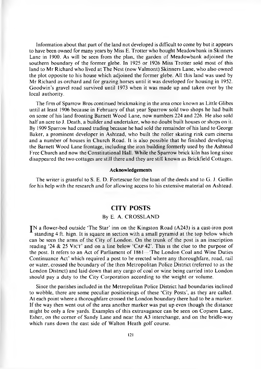Information about that part of the land not developed is difficult to come by but it appears to have been owned for many years by Miss E. Trotter who bought Meadowbank in Skinners Lane in 1900. As will be seen from the plan, the garden of Meadowbank adjoined the southern boundary of the former glebe. In 1925 or 1926 Miss Trotter sold most of this land to Mr Richard who lived at The Nest (now Valmont) Skinners Lane, who also owned the plot opposite to his house which adjoined the former glebe. All this land was used by M r Richard as orchard and for grazing horses until it was developed for housing in 1952. Goodwin's gravel road survived until 1973 when it was made up and taken over by the local authority.

The firm of Sparrow Bros continued brickmaking in the area once known as Little Glibes until at least 1906 because in February of that year Sparrow sold two shops he had built on some of his land fronting Barnett Wood Lane, now numbers 224 and 226. He also sold half an acre to J. Death, a builder and undertaker, who no doubt built houses or shops on it. By 1909 Sparrow had ceased trading because he had sold the remainder of his land to George Baker, a prominent developer in Ashtead, who built the roller skating rink cum cinema and a number of houses in Church Road. It is also possible that he finished developing the Barnett Wood Lane frontage, including the iron building formerly used by the Ashtead Free Church and now the Constitutional Hall. While the Sparrow brick kiln has long since disappeared the two cottages are still there and they are still known as Brickfield Cottages.

#### **Acknowledgements**

The writer is grateful to S. E. D. Fortescue for the loan of the deeds and to G. J. Gollin for his help with the research and for allowing access to his extensive material on Ashtead.

#### **CITY POSTS**

### By E. A. CROSSLAND

IN a flower-bed outside 'The Star' inn on the Kingston Road (A243) is a cast-iron post standing 4 ft. hign. It is square in section with a small pyramid at the top below which can be seen the arms of the City of London. On the trunk of the post is an inscription reading '24  $\&$  25 VICT' and on a line below 'CAP 42'. This is the clue to the purpose of the post. It refers to an Act of Parliament of 1861—'The London Coal and Wine Duties Continuance Act' which required a post to be erected where any thoroughfare, road, rail or water, crossed the boundary of the then Metropolitan Police District (referred to as the London District) and laid down that any cargo of coal or wine being carried into London should pay a duty to the City Corporation according to the weight or volume.

Since the parishes included in the Metropolitan Police District had boundaries inclined to wobble, there are some peculiar positionings of these 'City Posts', as they are called. At each point where a thoroughfare crossed the London boundary there had to be a marker. If the way then went out of the area another marker was put up even though the distance might be only a few yards. Examples of this extravagance can be seen on Copsem Lane, Esher, on the corner of Sandy Lane and near the A3 interchange, and on the bridle-way which runs down the east side of Walton Heath golf course.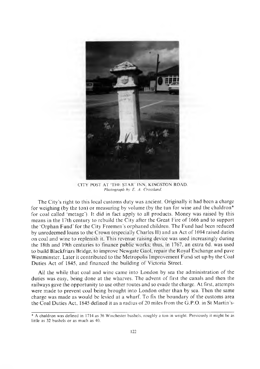

CITY POST AT 'THE STAR' INN, KINGSTON ROAD. *Photograph by E. A. Crossland.*

The City's right to this local customs duty was ancient. Originally it had been a charge for weighing (by the ton) or measuring by volume (by the tun for wine and the chaldron $*$ for coal called 'metage'). It did in fact apply to all products. Money was raised by this means in the 17th century to rebuild the City after the Great Fire of 1666 and to support the 'Orphan Fund' for the City Freemen's orphaned children. The Fund had been reduced by unredeemed loans to the Crown (especially Charles II) and an Act of 1694 raised duties on coal and wine to replenish it. This revenue raising device was used increasingly during the 18th and 19th centuries to finance public works; thus, in 1767, an extra 6d. was used to build Blackfriars Bridge, to improve Newgate Gaol, repair the Royal Exchange and pave Westminster. Later it contributed to the Metropolis Improvement Fund set up by the Coal Duties Act of 1845, and financed the building of Victoria Street.

All the while that coal and wine came into London by sea the administration of the duties was easy, being done at the wharves. The advent of first the canals and then the railways gave the opportunity to use other routes and so evade the charge. At first, attempts were made to prevent coal being brought into London other than by sea. Then the same charge was made as would be levied at a wharf. To fix the boundary of the customs area the Coal Duties Act, 1845 defined it as a radius of 20 miles from the G.P.O. in St Martin's-

<sup>\*</sup> A chaldron was defined in 1714 as 36 W inchester bushels, roughly a ton in weight. Previously it might be as little as 32 bushels or as much as 40.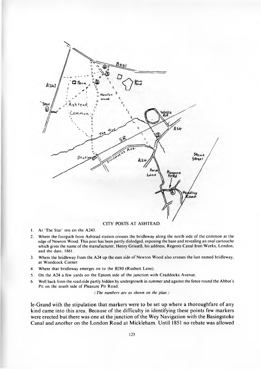

- 1. At 'The Star' inn on the A243.
- 2. Where the footpath from Ashtead station crosses the bridleway along the north side of the common at the edge of Newton Wood. This post has been partly dislodged, exposing the base and revealing an oval cartouche which gives the name of the manufacturer, Henry Grissell, his address. Regents Canal Iron Works, London, and the date, 1861.
- 3. Where the bridleway from the A24 up the east side of Newton Wood also crosses the last named bridleway, at Woodcock Corner.
- 4. Where that bridleway emerges on to the B280 (Rushett Lane).
- 5. On the A24 a few yards on the Epsom side of the junction with Craddocks Avenue.
- 6. Well back from the road-side partly hidden by undergrowth in summer and against the fence round the Abbot's Pit on the south side of Pleasure Pit Road.

*( The numbers are as shown on the plan.)*

**le-Grand with the stipulation that markers were to be set up where a thoroughfare of any kind came into this area. Because of the difficulty in identifying these points few markers were erected but there was one at the junction of the Wey Navigation with the Basingstoke Canal and another on the London Road at Mickleham. Until 1851 no rebate was allowed**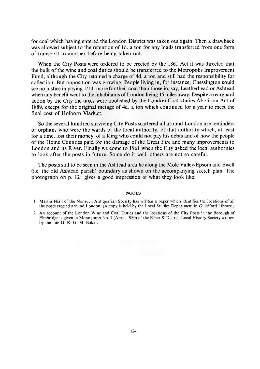for coal which having entered the London District was taken out again. Then a drawback was allowed subject to the retention of 1d. a ton for any loads transferred from one form of transport to another before being taken out.

When the City Posts were ordered to be erected by the 1861 Act it was directed that the bulk of the wine and coal duties should be transferred to the Metropolis Improvement Fund, although the City retained a charge of 4d, a ton and still had the responsibility for collection. But opposition was growing. People living in, for instance, Chessington could see no justice in paying 1/1d. more for their coal than those in, say, Leatherhead or Ashtead when any benefit went to the inhabitants of London living 15 miles away. Despite a rearguard action by the City the taxes were abolished by the London Coal Duties Abolition Act of 1889, except for the original metage of 4d. a ton which continued for a year to meet the final cost of Holborn Viaduct.

So the several hundred surviving City Posts scattered all around London are reminders of orphans who were the wards of the local authority, of that authority which, at least for a time, lost their money, of a King who could not pay his debts and of how the people of the Home Counties paid for the damage of the Great Fire and many improvements to London and its River. Finally we come to 1961 when the City asked the local authorities to look after the posts in future. Some do it well, others are not so careful.

The posts still to be seen in the Ashtead area lie along the Mole Valley/Epsom and Ewell  $(i.e.$  the old Ashtead parish) boundary as shown on the accompanying sketch plan. The photograph on p. 121 gives a good impression of what they look like.

#### **NOTES**

2. An account of the London Wine and Coal Duties and the locations of the City Posts in the Borough of Elmbridge is given in Monograph No. 7 (April, 1980) of the Esher & District Local History Society written by the late G. R. G. M. Baker.

<sup>1.</sup> Martin Niall of the Nonsuch Antiquarian Society has written a paper which identifies the locations of all the posts erected around London. (A copy is held by the Local Studies Department in Guildford Library.)